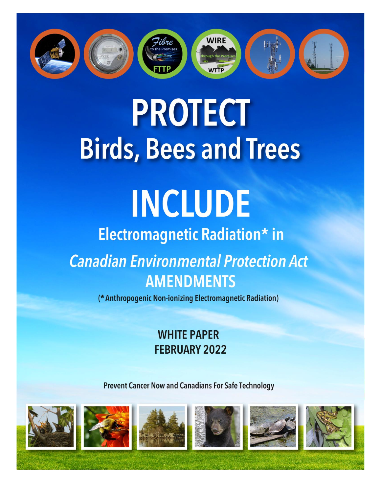

# PROTECT **Birds, Bees and Trees**

# **INCLUDE**

## **Electromagnetic Radiation\* in**

# **Canadian Environmental Protection Act AMENDMENTS**

(\* Anthropogenic Non-ionizing Electromagnetic Radiation)

## **WHITE PAPER FEBRUARY 2022**

**Prevent Cancer Now and Canadians For Safe Technology** 

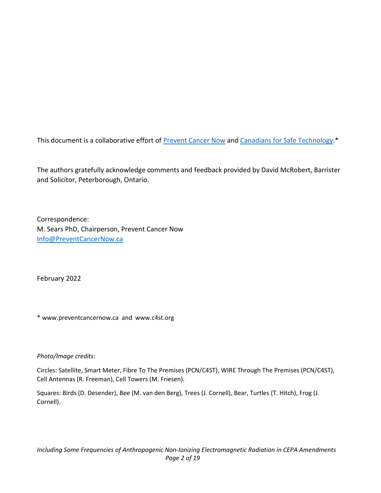This document is a collaborative effort of [Prevent Cancer Now](https://preventcancernow.ca/) and [Canadians for Safe Technology.](https://c4st.org/)\*

The authors gratefully acknowledge comments and feedback provided by David McRobert, Barrister and Solicitor, Peterborough, Ontario.

Correspondence: M. Sears PhD, Chairperson, Prevent Cancer Now [Info@PreventCancerNow.ca](mailto:Info@PreventCancerNow.ca)

February 2022

\* www.preventcancernow.ca and www.c4st.org

*Photo/Image credits:* 

Circles: Satellite, Smart Meter, Fibre To The Premises (PCN/C4ST), WIRE Through The Premises (PCN/C4ST), Cell Antennas (R. Freeman), Cell Towers (M. Friesen).

Squares: Birds (D. Desender), Bee (M. van den Berg), Trees (J. Cornell), Bear, Turtles (T. Hitch), Frog (J. Cornell).

*Including Some Frequencies of Anthropogenic Non-Ionizing Electromagnetic Radiation in CEPA Amendments Page 2 of 19*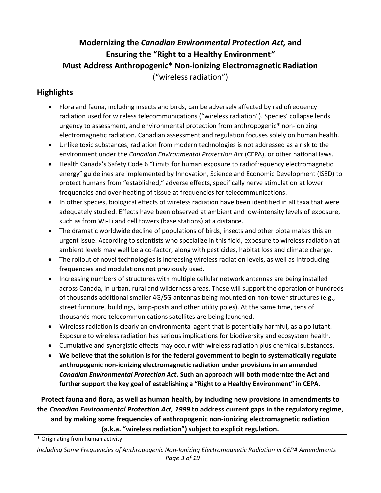### **Modernizing the** *Canadian Environmental Protection Act,* **and Ensuring the "Right to a Healthy Environment***"* **Must Address Anthropogenic\* Non-ionizing Electromagnetic Radiation** ("wireless radiation")

#### **Highlights**

- Flora and fauna, including insects and birds, can be adversely affected by radiofrequency radiation used for wireless telecommunications ("wireless radiation"). Species' collapse lends urgency to assessment, and environmental protection from anthropogenic\* non-ionizing electromagnetic radiation. Canadian assessment and regulation focuses solely on human health.
- Unlike toxic substances, radiation from modern technologies is not addressed as a risk to the environment under the *Canadian Environmental Protection Act* (CEPA), or other national laws.
- Health Canada's Safety Code 6 "Limits for human exposure to radiofrequency electromagnetic energy" guidelines are implemented by Innovation, Science and Economic Development (ISED) to protect humans from "established," adverse effects, specifically nerve stimulation at lower frequencies and over-heating of tissue at frequencies for telecommunications.
- In other species, biological effects of wireless radiation have been identified in all taxa that were adequately studied. Effects have been observed at ambient and low-intensity levels of exposure, such as from Wi-Fi and cell towers (base stations) at a distance.
- The dramatic worldwide decline of populations of birds, insects and other biota makes this an urgent issue. According to scientists who specialize in this field, exposure to wireless radiation at ambient levels may well be a co-factor, along with pesticides, habitat loss and climate change.
- The rollout of novel technologies is increasing wireless radiation levels, as well as introducing frequencies and modulations not previously used.
- Increasing numbers of structures with multiple cellular network antennas are being installed across Canada, in urban, rural and wilderness areas. These will support the operation of hundreds of thousands additional smaller 4G/5G antennas being mounted on non-tower structures (e.g., street furniture, buildings, lamp-posts and other utility poles). At the same time, tens of thousands more telecommunications satellites are being launched.
- Wireless radiation is clearly an environmental agent that is potentially harmful, as a pollutant. Exposure to wireless radiation has serious implications for biodiversity and ecosystem health.
- Cumulative and synergistic effects may occur with wireless radiation plus chemical substances.
- **We believe that the solution is for the federal government to begin to systematically regulate anthropogenic non-ionizing electromagnetic radiation under provisions in an amended**  *Canadian Environmental Protection Act***. Such an approach will both modernize the Act and further support the key goal of establishing a "Right to a Healthy Environment" in CEPA.**

**Protect fauna and flora, as well as human health, by including new provisions in amendments to the** *Canadian Environmental Protection Act, 1999* **to address current gaps in the regulatory regime, and by making some frequencies of anthropogenic non-ionizing electromagnetic radiation (a.k.a. "wireless radiation") subject to explicit regulation.**

\* Originating from human activity

*Including Some Frequencies of Anthropogenic Non-Ionizing Electromagnetic Radiation in CEPA Amendments Page 3 of 19*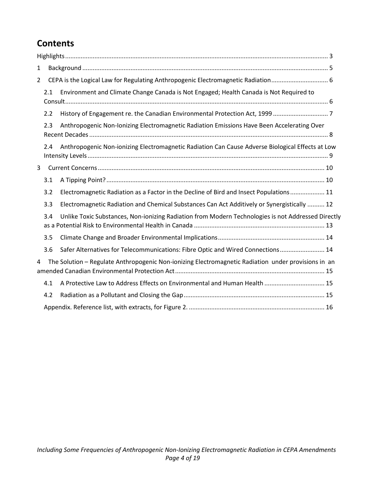### **Contents**

| $\mathbf{1}$   |     |                                                                                                     |  |
|----------------|-----|-----------------------------------------------------------------------------------------------------|--|
| $\overline{2}$ |     |                                                                                                     |  |
|                | 2.1 | Environment and Climate Change Canada is Not Engaged; Health Canada is Not Required to              |  |
|                | 2.2 |                                                                                                     |  |
|                | 2.3 | Anthropogenic Non-Ionizing Electromagnetic Radiation Emissions Have Been Accelerating Over          |  |
|                | 2.4 | Anthropogenic Non-ionizing Electromagnetic Radiation Can Cause Adverse Biological Effects at Low    |  |
| $\overline{3}$ |     |                                                                                                     |  |
|                | 3.1 |                                                                                                     |  |
|                | 3.2 | Electromagnetic Radiation as a Factor in the Decline of Bird and Insect Populations 11              |  |
|                | 3.3 | Electromagnetic Radiation and Chemical Substances Can Act Additively or Synergistically  12         |  |
|                | 3.4 | Unlike Toxic Substances, Non-ionizing Radiation from Modern Technologies is not Addressed Directly  |  |
|                | 3.5 |                                                                                                     |  |
|                | 3.6 | Safer Alternatives for Telecommunications: Fibre Optic and Wired Connections 14                     |  |
| 4              |     | The Solution - Regulate Anthropogenic Non-ionizing Electromagnetic Radiation under provisions in an |  |
|                | 4.1 | A Protective Law to Address Effects on Environmental and Human Health  15                           |  |
|                | 4.2 |                                                                                                     |  |
|                |     |                                                                                                     |  |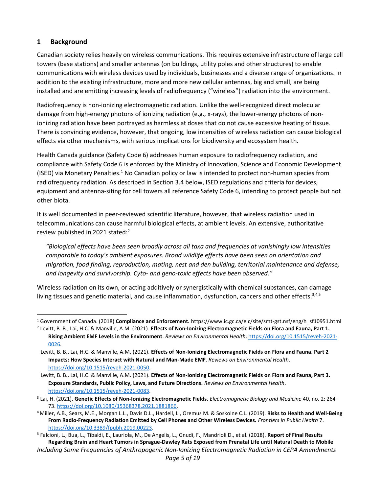#### **1 Background**

Canadian society relies heavily on wireless communications. This requires extensive infrastructure of large cell towers (base stations) and smaller antennas (on buildings, utility poles and other structures) to enable communications with wireless devices used by individuals, businesses and a diverse range of organizations. In addition to the existing infrastructure, more and more new cellular antennas, big and small, are being installed and are emitting increasing levels of radiofrequency ("wireless") radiation into the environment.

Radiofrequency is non-ionizing electromagnetic radiation. Unlike the well-recognized direct molecular damage from high-energy photons of ionizing radiation (e.g., x-rays), the lower-energy photons of nonionizing radiation have been portrayed as harmless at doses that do not cause excessive heating of tissue. There is convincing evidence, however, that ongoing, low intensities of wireless radiation can cause biological effects via other mechanisms, with serious implications for biodiversity and ecosystem health.

Health Canada guidance (Safety Code 6) addresses human exposure to radiofrequency radiation, and compliance with Safety Code 6 is enforced by the Ministry of Innovation, Science and Economic Development (ISED) via Monetary Penalties.<sup>1</sup> No Canadian policy or law is intended to protect non-human species from radiofrequency radiation. As described in Section 3.4 below, ISED regulations and criteria for devices, equipment and antenna-siting for cell towers all reference Safety Code 6, intending to protect people but not other biota.

It is well documented in peer-reviewed scientific literature, however, that wireless radiation used in telecommunications can cause harmful biological effects, at ambient levels. An extensive, authoritative review published in 2021 stated:<sup>2</sup>

<span id="page-4-2"></span><span id="page-4-1"></span><span id="page-4-0"></span>*"Biological effects have been seen broadly across all taxa and frequencies at vanishingly low intensities comparable to today's ambient exposures. Broad wildlife effects have been seen on orientation and migration, food finding, reproduction, mating, nest and den building, territorial maintenance and defense, and longevity and survivorship. Cyto- and geno-toxic effects have been observed."*

Wireless radiation on its own, or acting additively or synergistically with chemical substances, can damage living tissues and genetic material, and cause inflammation, dysfunction, cancers and other effects.<sup>3,4,5</sup>

<sup>1</sup> Government of Canada. (2018) **Compliance and Enforcement.** https://www.ic.gc.ca/eic/site/smt-gst.nsf/eng/h\_sf10951.html 2 Levitt, B. B., Lai, H.C. & Manville, A.M. (2021). **Effects of Non-Ionizing Electromagnetic Fields on Flora and Fauna, Part 1.** 

**Rising Ambient EMF Levels in the Environment**. *Reviews on Environmental Health*. [https://doi.org/10.1515/reveh-2021-](https://doi.org/10.1515/reveh-2021-0026) [0026.](https://doi.org/10.1515/reveh-2021-0026)

Levitt, B. B., Lai, H.C. & Manville, A.M. (2021). **Effects of Non-Ionizing Electromagnetic Fields on Flora and Fauna. Part 2 Impacts: How Species Interact with Natural and Man-Made EMF**. *Reviews on Environmental Health*. [https://doi.org/10.1515/reveh-2021-0050.](https://doi.org/10.1515/reveh-2021-0050)

Levitt, B. B., Lai, H.C. & Manville, A.M. (2021). **Effects of Non-Ionizing Electromagnetic Fields on Flora and Fauna, Part 3. Exposure Standards, Public Policy, Laws, and Future Directions.** *Reviews on Environmental Health*. [https://doi.org/10.1515/reveh-2021-0083.](https://doi.org/10.1515/reveh-2021-0083)

<sup>3</sup> Lai, H. (2021). **Genetic Effects of Non-Ionizing Electromagnetic Fields.** *Electromagnetic Biology and Medicine* 40, no. 2: 264– 73[. https://doi.org/10.1080/15368378.2021.1881866.](https://doi.org/10.1080/15368378.2021.1881866)

<sup>4</sup>Miller, A.B., Sears, M.E., Morgan L.L., Davis D.L., Hardell, L., Oremus M. & Soskolne C.L. (2019). **Risks to Health and Well-Being From Radio-Frequency Radiation Emitted by Cell Phones and Other Wireless Devices.** *Frontiers in Public Health* 7. [https://doi.org/10.3389/fpubh.2019.00223.](https://doi.org/10.3389/fpubh.2019.00223)

*Including Some Frequencies of Anthropogenic Non-Ionizing Electromagnetic Radiation in CEPA Amendments*  <sup>5</sup> Falcioni, L., Bua, L., Tibaldi, E., Lauriola, M., De Angelis, L., Gnudi, F., Mandrioli D., et al. (2018). **Report of Final Results Regarding Brain and Heart Tumors in Sprague-Dawley Rats Exposed from Prenatal Life until Natural Death to Mobile**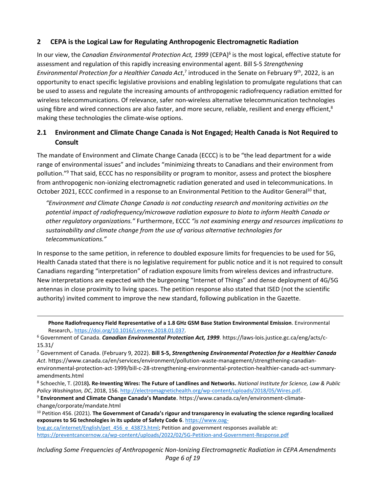#### **2 CEPA is the Logical Law for Regulating Anthropogenic Electromagnetic Radiation**

In our view, the *Canadian Environmental Protection Act, 1999* (CEPA) 6 is the most logical, effective statute for assessment and regulation of this rapidly increasing environmental agent. Bill S-5 *Strengthening*  Environmental Protection for a Healthier Canada Act,<sup>7</sup> introduced in the Senate on February 9<sup>th</sup>, 2022, is an opportunity to enact specific legislative provisions and enabling legislation to promulgate regulations that can be used to assess and regulate the increasing amounts of anthropogenic radiofrequency radiation emitted for wireless telecommunications. Of relevance, safer non-wireless alternative telecommunication technologies using fibre and wired connections are also faster, and more secure, reliable, resilient and energy efficient,<sup>8</sup> making these technologies the climate-wise options.

#### <span id="page-5-0"></span>**2.1 Environment and Climate Change Canada is Not Engaged; Health Canada is Not Required to Consult**

The mandate of Environment and Climate Change Canada (ECCC) is to be "the lead department for a wide range of environmental issues" and includes "minimizing threats to Canadians and their environment from pollution."<sup>9</sup> That said, ECCC has no responsibility or program to monitor, assess and protect the biosphere from anthropogenic non-ionizing electromagnetic radiation generated and used in telecommunications. In October 2021, ECCC confirmed in a response to an Environmental Petition to the Auditor General<sup>10</sup> that,

*"Environment and Climate Change Canada is not conducting research and monitoring activities on the potential impact of radiofrequency/microwave radiation exposure to biota to inform Health Canada or other regulatory organizations."* Furthermore, ECCC *"is not examining energy and resources implications to sustainability and climate change from the use of various alternative technologies for telecommunications."*

In response to the same petition, in reference to doubled exposure limits for frequencies to be used for 5G, Health Canada stated that there is no legislative requirement for public notice and it is not required to consult Canadians regarding "interpretation" of radiation exposure limits from wireless devices and infrastructure. New interpretations are expected with the burgeoning "Internet of Things" and dense deployment of 4G/5G antennas in close proximity to living spaces. The petition response also stated that ISED (not the scientific authority) invited comment to improve the new standard, following publication in the Gazette.

**Phone Radiofrequency Field Representative of a 1.8 GHz GSM Base Station Environmental Emission**. Environmental Research,[. https://doi.org/10.1016/j.envres.2018.01.037.](https://doi.org/10.1016/j.envres.2018.01.037)

<sup>9</sup> **Environment and Climate Change Canada's Mandate**. https://www.canada.ca/en/environment-climatechange/corporate/mandate.html

<sup>10</sup> Petition 456. (2021). **The Government of Canada's rigour and transparency in evaluating the science regarding localized exposures to 5G technologies in its update of Safety Code 6**. [https://www.oag-](https://www.oag-bvg.gc.ca/internet/English/pet_456_e_43873.html)

bvg.gc.ca/internet/English/pet 456 e 43873.html; Petition and government responses available at: <https://preventcancernow.ca/wp-content/uploads/2022/02/5G-Petition-and-Government-Response.pdf>

*Including Some Frequencies of Anthropogenic Non-Ionizing Electromagnetic Radiation in CEPA Amendments Page 6 of 19*

<sup>6</sup> Government of Canada. *Canadian Environmental Protection Act, 1999.* https://laws-lois.justice.gc.ca/eng/acts/c-15.31/

<sup>7</sup> Government of Canada. (February 9, 2022). **Bill S-5,** *Strengthening Environmental Protection for a Healthier Canada Act*. https://www.canada.ca/en/services/environment/pollution-waste-management/strengthening-canadianenvironmental-protection-act-1999/bill-c-28-strengthening-environmental-protection-healthier-canada-act-summaryamendments.html

<sup>8</sup> Schoechle, T. (2018**). Re-Inventing Wires: The Future of Landlines and Networks.** *National Institute for Science, Law & Public Policy Washington, DC*, 2018, 156[. http://electromagnetichealth.org/wp-content/uploads/2018/05/Wires.pdf.](http://electromagnetichealth.org/wp-content/uploads/2018/05/Wires.pdf)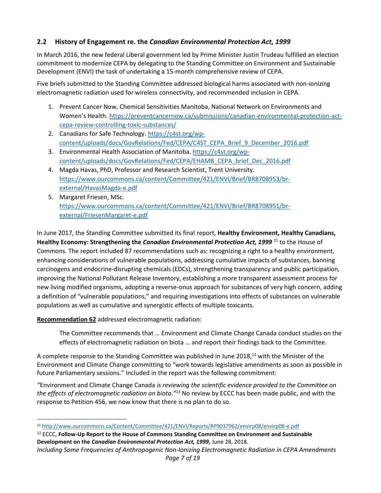#### **2.2 History of Engagement re. the** *Canadian Environmental Protection Act, 1999*

In March 2016, the new federal Liberal government led by Prime Minister Justin Trudeau fulfilled an election commitment to modernize CEPA by delegating to the Standing Committee on Environment and Sustainable Development (ENVI) the task of undertaking a 15-month comprehensive review of CEPA.

Five briefs submitted to the Standing Committee addressed biological harms associated with non-ionizing electromagnetic radiation used for wireless connectivity, and recommended inclusion in CEPA.

- 1. Prevent Cancer Now, Chemical Sensitivities Manitoba, National Network on Environments and Women's Health. [https://preventcancernow.ca/submissions/canadian-environmental-protection-act](https://preventcancernow.ca/submissions/canadian-environmental-protection-act-cepa-review-controlling-toxic-substances/)[cepa-review-controlling-toxic-substances/](https://preventcancernow.ca/submissions/canadian-environmental-protection-act-cepa-review-controlling-toxic-substances/)
- 2. Canadians for Safe Technology. [https://c4st.org/wp](https://c4st.org/wp-content/uploads/docs/GovRelations/Fed/CEPA/C4ST_CEPA_Brief_9_December_2016.pdf)[content/uploads/docs/GovRelations/Fed/CEPA/C4ST\\_CEPA\\_Brief\\_9\\_December\\_2016.pdf](https://c4st.org/wp-content/uploads/docs/GovRelations/Fed/CEPA/C4ST_CEPA_Brief_9_December_2016.pdf)
- 3. Environmental Health Association of Manitoba. [https://c4st.org/wp](https://c4st.org/wp-content/uploads/docs/GovRelations/Fed/CEPA/EHAMB_CEPA_brief_Dec_2016.pdf)[content/uploads/docs/GovRelations/Fed/CEPA/EHAMB\\_CEPA\\_brief\\_Dec\\_2016.pdf](https://c4st.org/wp-content/uploads/docs/GovRelations/Fed/CEPA/EHAMB_CEPA_brief_Dec_2016.pdf)
- 4. Magda Havas, PhD, Professor and Research Scientist, Trent University. [https://www.ourcommons.ca/content/Committee/421/ENVI/Brief/BR8708953/br](https://www.ourcommons.ca/content/Committee/421/ENVI/Brief/BR8708953/br-external/HavasMagda-e.pdf)[external/HavasMagda-e.pdf](https://www.ourcommons.ca/content/Committee/421/ENVI/Brief/BR8708953/br-external/HavasMagda-e.pdf)
- 5. Margaret Friesen, MSc. [https://www.ourcommons.ca/content/Committee/421/ENVI/Brief/BR8708951/br](https://www.ourcommons.ca/content/Committee/421/ENVI/Brief/BR8708951/br-external/FriesenMargaret-e.pdf)[external/FriesenMargaret-e.pdf](https://www.ourcommons.ca/content/Committee/421/ENVI/Brief/BR8708951/br-external/FriesenMargaret-e.pdf)

In June 2017, the Standing Committee submitted its final report, **Healthy Environment, Healthy Canadians, Healthy Economy: Strengthening the** *Canadian Environmental Protection Act, 1999* <sup>11</sup> to the House of Commons. The report included 87 recommendations such as: recognizing a right to a healthy environment, enhancing considerations of vulnerable populations, addressing cumulative impacts of substances, banning carcinogens and endocrine-disrupting chemicals (EDCs), strengthening transparency and public participation, improving the National Pollutant Release Inventory, establishing a more transparent assessment process for new living modified organisms, adopting a reverse-onus approach for substances of very high concern, adding a definition of "vulnerable populations," and requiring investigations into effects of substances on vulnerable populations as well as cumulative and synergistic effects of multiple toxicants.

**Recommendation 62** addressed electromagnetic radiation:

The Committee recommends that … Environment and Climate Change Canada conduct studies on the effects of electromagnetic radiation on biota … and report their findings back to the Committee.

A complete response to the Standing Committee was published in June 2018,<sup>12</sup> with the Minister of the Environment and Climate Change committing to "work towards legislative amendments as soon as possible in future Parliamentary sessions." Included in the report was the following commitment:

*"*Environment and Climate Change Canada *is reviewing the scientific evidence provided to the Committee on the effects of electromagnetic radiation on biota."<sup>13</sup>* No review by ECCC has been made public, and with the response to Petition 456, we now know that there is no plan to do so.

<sup>11</sup> <http://www.ourcommons.ca/Content/Committee/421/ENVI/Reports/RP9037962/envirp08/envirp08-e.pdf>

<sup>12</sup> ECCC, **Follow-Up Report to the House of Commons Standing Committee on Environment and Sustainable Development on the** *Canadian Environmental Protection Act, 1999,* June 28, 2018.

*Including Some Frequencies of Anthropogenic Non-Ionizing Electromagnetic Radiation in CEPA Amendments Page 7 of 19*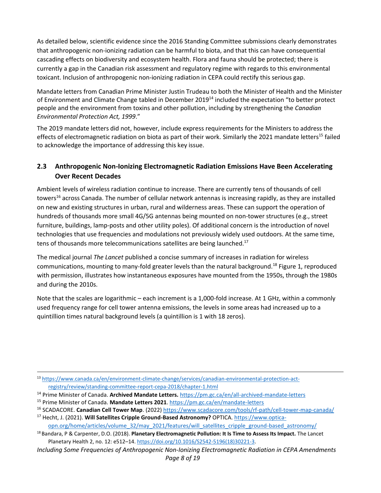As detailed below, scientific evidence since the 2016 Standing Committee submissions clearly demonstrates that anthropogenic non-ionizing radiation can be harmful to biota, and that this can have consequential cascading effects on biodiversity and ecosystem health. Flora and fauna should be protected; there is currently a gap in the Canadian risk assessment and regulatory regime with regards to this environmental toxicant. Inclusion of anthropogenic non-ionizing radiation in CEPA could rectify this serious gap.

Mandate letters from Canadian Prime Minister Justin Trudeau to both the Minister of Health and the Minister of Environment and Climate Change tabled in December 2019<sup>14</sup> included the expectation "to better protect people and the environment from toxins and other pollution, including by strengthening the *Canadian Environmental Protection Act, 1999*."

The 2019 mandate letters did not, however, include express requirements for the Ministers to address the effects of electromagnetic radiation on biota as part of their work. Similarly the 2021 mandate letters<sup>15</sup> failed to acknowledge the importance of addressing this key issue.

#### **2.3 Anthropogenic Non-Ionizing Electromagnetic Radiation Emissions Have Been Accelerating Over Recent Decades**

Ambient levels of wireless radiation continue to increase. There are currently tens of thousands of cell towers <sup>16</sup> across Canada. The number of cellular network antennas is increasing rapidly, as they are installed on new and existing structures in urban, rural and wilderness areas. These can support the operation of hundreds of thousands more small 4G/5G antennas being mounted on non-tower structures (e.g., street furniture, buildings, lamp-posts and other utility poles). Of additional concern is the introduction of novel technologies that use frequencies and modulations not previously widely used outdoors. At the same time, tens of thousands more telecommunications satellites are being launched.<sup>17</sup>

The medical journal *The Lancet* published a concise summary of increases in radiation for wireless communications, mounting to many-fold greater levels than the natural background.<sup>18</sup> Figure 1, reproduced with permission, illustrates how instantaneous exposures have mounted from the 1950s, through the 1980s and during the 2010s.

Note that the scales are logarithmic – each increment is a 1,000-fold increase. At 1 GHz, within a commonly used frequency range for cell tower antenna emissions, the levels in some areas had increased up to a quintillion times natural background levels (a quintillion is 1 with 18 zeros).

<sup>13</sup> [https://www.canada.ca/en/environment-climate-change/services/canadian-environmental-protection-act](https://www.canada.ca/en/environment-climate-change/services/canadian-environmental-protection-act-registry/review/standing-committee-report-cepa-2018/chapter-1.html)[registry/review/standing-committee-report-cepa-2018/chapter-1.html](https://www.canada.ca/en/environment-climate-change/services/canadian-environmental-protection-act-registry/review/standing-committee-report-cepa-2018/chapter-1.html)

<sup>14</sup> Prime Minister of Canada. **Archived Mandate Letters.** <https://pm.gc.ca/en/all-archived-mandate-letters>

<sup>15</sup> Prime Minister of Canada. **Mandate Letters 2021**[. https://pm.gc.ca/en/mandate-letters](https://pm.gc.ca/en/mandate-letters)

<sup>16</sup> SCADACORE. **Canadian Cell Tower Map**. (2022[\) https://www.scadacore.com/tools/rf-path/cell-tower-map-canada/](https://www.scadacore.com/tools/rf-path/cell-tower-map-canada/)

<sup>17</sup> Hecht, J. (2021). **Will Satellites Cripple Ground-Based Astronomy?** OPTICA[. https://www.optica](https://www.optica-opn.org/home/articles/volume_32/may_2021/features/will_satellites_cripple_ground-based_astronomy/)[opn.org/home/articles/volume\\_32/may\\_2021/features/will\\_satellites\\_cripple\\_ground-based\\_astronomy/](https://www.optica-opn.org/home/articles/volume_32/may_2021/features/will_satellites_cripple_ground-based_astronomy/)

<sup>18</sup> Bandara, P & Carpenter, D.O. (2018). **Planetary Electromagnetic Pollution: It Is Time to Assess Its Impact.** The Lancet Planetary Health 2, no. 12: e512-14[. https://doi.org/10.1016/S2542-5196\(18\)30221-3.](https://doi.org/10.1016/S2542-5196(18)30221-3)

*Including Some Frequencies of Anthropogenic Non-Ionizing Electromagnetic Radiation in CEPA Amendments Page 8 of 19*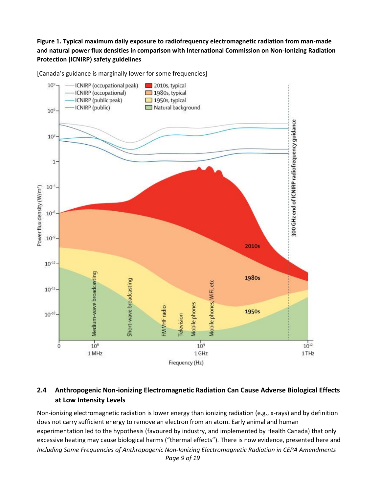#### **Figure 1. Typical maximum daily exposure to radiofrequency electromagnetic radiation from man-made and natural power flux densities in comparison with International Commission on Non-Ionizing Radiation Protection (ICNIRP) safety guidelines**

[Canada's guidance is marginally lower for some frequencies]



#### **2.4 Anthropogenic Non-ionizing Electromagnetic Radiation Can Cause Adverse Biological Effects at Low Intensity Levels**

*Including Some Frequencies of Anthropogenic Non-Ionizing Electromagnetic Radiation in CEPA Amendments Page 9 of 19* Non-ionizing electromagnetic radiation is lower energy than ionizing radiation (e.g., x-rays) and by definition does not carry sufficient energy to remove an electron from an atom. Early animal and human experimentation led to the hypothesis (favoured by industry, and implemented by Health Canada) that only excessive heating may cause biological harms ("thermal effects"). There is now evidence, presented here and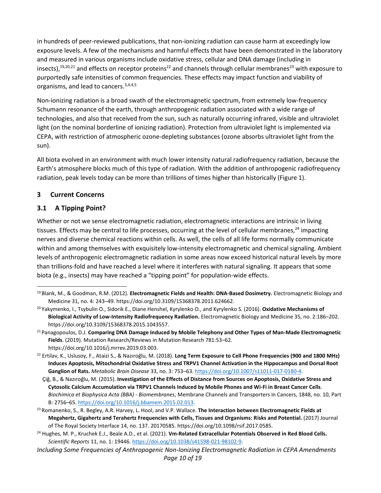in hundreds of peer-reviewed publications, that non-ionizing radiation can cause harm at exceedingly low exposure levels. A few of the mechanisms and harmful effects that have been demonstrated in the laboratory and measured in various organisms include oxidative stress, cellular and DNA damage (including in insects),<sup>19,20,21</sup> and effects on receptor proteins<sup>22</sup> and channels through cellular membranes<sup>23</sup> with exposure to purportedly safe intensities of common frequencies. These effects may impact function and viability of organisms, and lead to cancers.<sup>3,[4,4,](#page-4-0)[5](#page-4-1)</sup>

Non-ionizing radiation is a broad swath of the electromagnetic spectrum, from extremely low-frequency Schumann resonance of the earth, through anthropogenic radiation associated with a wide range of technologies, and also that received from the sun, such as naturally occurring infrared, visible and ultraviolet light (on the nominal borderline of ionizing radiation). Protection from ultraviolet light is implemented via CEPA, with restriction of atmospheric ozone-depleting substances (ozone absorbs ultraviolet light from the sun).

All biota evolved in an environment with much lower intensity natural radiofrequency radiation, because the Earth's atmosphere blocks much of this type of radiation. With the addition of anthropogenic radiofrequency radiation, peak levels today can be more than trillions of times higher than historically (Figure 1).

#### **3 Current Concerns**

#### **3.1 A Tipping Point?**

Whether or not we sense electromagnetic radiation, electromagnetic interactions are intrinsic in living tissues. Effects may be central to life processes, occurring at the level of cellular membranes,<sup>24</sup> impacting nerves and diverse chemical reactions within cells. As well, the cells of all life forms normally communicate within and among themselves with exquisitely low-intensity electromagnetic and chemical signaling. Ambient levels of anthropogenic electromagnetic radiation in some areas now exceed historical natural levels by more than trillions-fold and have reached a level where it interferes with natural signaling. It appears that some biota (e.g., insects) may have reached a "tipping point" for population-wide effects.

Çiğ, B., & Nazıroğlu, M. (2015). **Investigation of the Effects of Distance from Sources on Apoptosis, Oxidative Stress and Cytosolic Calcium Accumulation via TRPV1 Channels Induced by Mobile Phones and Wi-Fi in Breast Cancer Cells**. *Biochimica et Biophysica Acta (BBA) - Biomembranes*, Membrane Channels and Transporters in Cancers, 1848, no. 10, Part B: 2756–65[. https://doi.org/10.1016/j.bbamem.2015.02.013.](https://doi.org/10.1016/j.bbamem.2015.02.013)

<sup>19</sup> Blank, M., & Goodman, R.M. (2012). **Electromagnetic Fields and Health: DNA-Based Dosimetry.** Electromagnetic Biology and Medicine 31, no. 4: 243–49. [https://doi.org/10.3109/15368378.2011.624662.](https://doi.org/10.3109/15368378.2011.624662)

<sup>20</sup> Yakymenko, I., Tsybulin O., Sidorik E., Diane Henshel, Kyrylenko O., and Kyrylenko S. (2016). **Oxidative Mechanisms of Biological Activity of Low-Intensity Radiofrequency Radiation.** Electromagnetic Biology and Medicine 35, no. 2:186–202. [https://doi.org/10.3109/15368378.2015.1043557.](https://doi.org/10.3109/15368378.2015.1043557)

<sup>21</sup> Panagopoulos, D.J. **Comparing DNA Damage Induced by Mobile Telephony and Other Types of Man-Made Electromagnetic Fields**. (2019). Mutation Research/Reviews in Mutation Research 781:53–62. [https://doi.org/10.1016/j.mrrev.2019.03.003.](https://doi.org/10.1016/j.mrrev.2019.03.003)

<sup>22</sup> Ertilav, K., Uslusoy, F., Ataizi S., & Nazıroğlu, M. (2018). **Long Term Exposure to Cell Phone Frequencies (900 and 1800 MHz) Induces Apoptosis, Mitochondrial Oxidative Stress and TRPV1 Channel Activation in the Hippocampus and Dorsal Root Ganglion of Rats.** *Metabolic Brain Disease* 33, no. 3: 753–63[. https://doi.org/10.1007/s11011-017-0180-4.](https://doi.org/10.1007/s11011-017-0180-4)

<sup>23</sup> Romanenko, S., R. Begley, A.R. Harvey, L. Hool, and V.P. Wallace. **The Interaction between Electromagnetic Fields at Megahertz, Gigahertz and Terahertz Frequencies with Cells, Tissues and Organisms: Risks and Potential.** (2017) Journal of The Royal Society Interface 14, no. 137. 20170585. [https://doi.org/10.1098/rsif.2017.0585.](https://doi.org/10.1098/rsif.2017.0585)

<sup>24</sup> Hughes, M. P., Kruchek E.J., Beale A.D., et al. (2021). **Vm-Related Extracellular Potentials Observed in Red Blood Cells.** *Scientific Reports* 11, no. 1: 19446[. https://doi.org/10.1038/s41598-021-98102-9.](https://doi.org/10.1038/s41598-021-98102-9)

*Including Some Frequencies of Anthropogenic Non-Ionizing Electromagnetic Radiation in CEPA Amendments Page 10 of 19*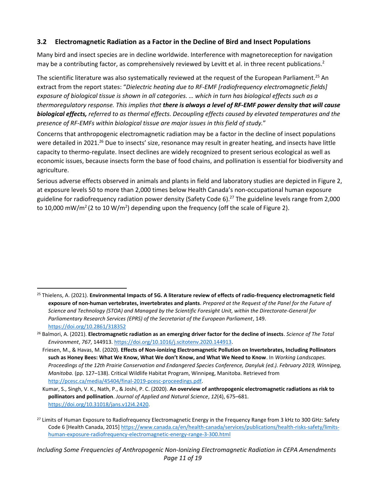#### **3.2 Electromagnetic Radiation as a Factor in the Decline of Bird and Insect Populations**

Many bird and insect species are in decline worldwide. Interference with magnetoreception for navigation may be a contributing factor, as comprehensively reviewed by Levitt et al. in three recent publications.<sup>[2](#page-4-2)</sup>

The scientific literature was also systematically reviewed at the request of the European Parliament.<sup>25</sup> An extract from the report states: "*Dielectric heating due to RF-EMF [radiofrequency electromagnetic fields] exposure of biological tissue is shown in all categories. … which in turn has biological effects such as a thermoregulatory response. This implies that there is always a level of RF-EMF power density that will cause biological effects, referred to as thermal effects. Decoupling effects caused by elevated temperatures and the presence of RF-EMFs within biological tissue are major issues in this field of study.*"

Concerns that anthropogenic electromagnetic radiation may be a factor in the decline of insect populations were detailed in 2021.<sup>26</sup> Due to insects' size, resonance may result in greater heating, and insects have little capacity to thermo-regulate. Insect declines are widely recognized to present serious ecological as well as economic issues, because insects form the base of food chains, and pollination is essential for biodiversity and agriculture.

<span id="page-10-0"></span>Serious adverse effects observed in animals and plants in field and laboratory studies are depicted in Figure 2, at exposure levels 50 to more than 2,000 times below Health Canada's non-occupational human exposure guideline for radiofrequency radiation power density (Safety Code 6). <sup>27</sup> The guideline levels range from 2,000 to 10,000 mW/m<sup>2</sup> (2 to 10 W/m<sup>2</sup>) depending upon the frequency (off the scale of Figure 2).

<sup>25</sup> Thielens, A. (2021). **Environmental Impacts of 5G. A literature review of effects of radio-frequency electromagnetic field exposure of non-human vertebrates, invertebrates and plants**. *Prepared at the Request of the Panel for the Future of Science and Technology (STOA) and Managed by the Scientific Foresight Unit, within the Directorate-General for Parliamentary Research Services (EPRS) of the Secretariat of the European Parliament*, 149. <https://doi.org/10.2861/318352>

Kumar, S., Singh, V. K., Nath, P., & Joshi, P. C. (2020). **An overview of anthropogenic electromagnetic radiations as risk to pollinators and pollination**. *Journal of Applied and Natural Science*, *12*(4), 675–681. [https://doi.org/10.31018/jans.v12i4.2420.](https://doi.org/10.31018/jans.v12i4.2420)

<sup>26</sup> Balmori, A. (2021). **Electromagnetic radiation as an emerging driver factor for the decline of insects**. *Science of The Total Environment*, *767*, 144913[. https://doi.org/10.1016/j.scitotenv.2020.144913.](https://doi.org/10.1016/j.scitotenv.2020.144913)

Friesen, M., & Havas, M. (2020). **Effects of Non-ionizing Electromagnetic Pollution on Invertebrates, Including Pollinators such as Honey Bees: What We Know, What We don't Know, and What We Need to Know**. In *Working Landscapes. Proceedings of the 12th Prairie Conservation and Endangered Species Conference, Danyluk (ed.). February 2019, Winnipeg, Manitoba.* (pp. 127–138). Critical Wildlife Habitat Program, Winnipeg, Manitoba. Retrieved from [http://pcesc.ca/media/45404/final-2019-pcesc-proceedings.pdf.](http://pcesc.ca/media/45404/final-2019-pcesc-proceedings.pdf)

<sup>&</sup>lt;sup>27</sup> Limits of Human Exposure to Radiofrequency Electromagnetic Energy in the Frequency Range from 3 kHz to 300 GHz: Safety Code 6 [Health Canada, 2015] [https://www.canada.ca/en/health-canada/services/publications/health-risks-safety/limits](https://www.canada.ca/en/health-canada/services/publications/health-risks-safety/limits-human-exposure-radiofrequency-electromagnetic-energy-range-3-300.html)[human-exposure-radiofrequency-electromagnetic-energy-range-3-300.html](https://www.canada.ca/en/health-canada/services/publications/health-risks-safety/limits-human-exposure-radiofrequency-electromagnetic-energy-range-3-300.html)

*Including Some Frequencies of Anthropogenic Non-Ionizing Electromagnetic Radiation in CEPA Amendments Page 11 of 19*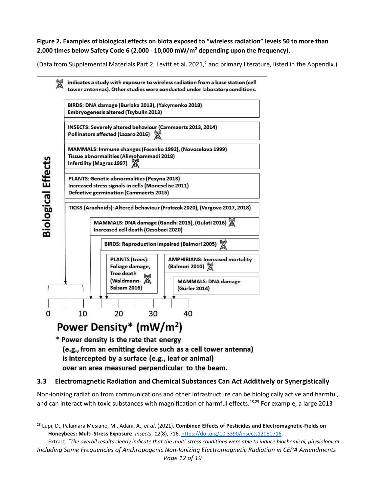#### **Figure 2. Examples of biological effects on biota exposed to "wireless radiation" levels 50 to more than 2,000 times below Safety Code 6 (2,000 - 10,000 mW/m<sup>2</sup> depending upon the frequency).**

(Data from Supplemental Materials Part 2[,](#page-4-2) Levitt et al. 2021,<sup>2</sup> and primary literature, listed in the Appendix.)



(e.g., from an emitting device such as a cell tower antenna) is intercepted by a surface (e.g., leaf or animal) over an area measured perpendicular to the beam.

#### **3.3 Electromagnetic Radiation and Chemical Substances Can Act Additively or Synergistically**

Non-ionizing radiation from communications and other infrastructure can be biologically active and harmful, and can interact with toxic substances with magnification of harmful effects.<sup>28,29</sup> For example, a large 2013

*Including Some Frequencies of Anthropogenic Non-Ionizing Electromagnetic Radiation in CEPA Amendments*  Extract*: "The overall results clearly indicate that the multi-stress conditions were able to induce biochemical, physiological* 

<sup>28</sup> Lupi, D., Palamara Mesiano, M., Adani, A., *et al*. (2021). **Combined Effects of Pesticides and Electromagnetic-Fields on Honeybees: Multi-Stress Exposure**. *Insects*, *12*(8), 716[. https://doi.org/10.3390/insects12080716.](https://doi.org/10.3390/insects12080716)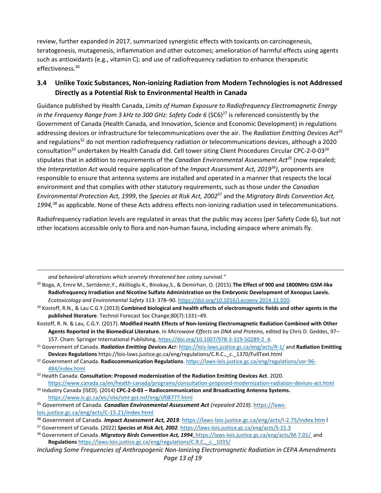review, further expanded in 2017, summarized synergistic effects with toxicants on carcinogenesis, teratogenesis, mutagenesis, inflammation and other outcomes; amelioration of harmful effects using agents such as antioxidants (e.g., vitamin C); and use of radiofrequency radiation to enhance therapeutic effectiveness.<sup>30</sup>

#### **3.4 Unlike Toxic Substances, Non-ionizing Radiation from Modern Technologies is not Addressed Directly as a Potential Risk to Environmental Health in Canada**

Guidance published by Health Canada, *Limits of Human Exposure to Radiofrequency Electromagnetic Energy in the Frequency Range from 3 kHz to 300 GHz: Safety Code 6 (SC6)<sup>[27](#page-10-0)</sup> is referenced consistently by the* Government of Canada (Health Canada, and Innovation, Science and Economic Development) in regulations addressing devices or infrastructure for telecommunications over the air. The *Radiation Emitting Devices Act*<sup>31</sup> and regulations<sup>32</sup> do not mention radiofrequency radiation or telecommunications devices, although a 2020 consultation<sup>33</sup> undertaken by Health Canada did. Cell tower siting Client Procedures Circular CPC-2-0-03<sup>34</sup> stipulates that in addition to requirements of the *Canadian Environmental Assessment Act<sup>35</sup>* (now repealed; the *Interpretation Act* would require application of the *Impact Assessment Act, 2019<sup>36</sup>)*, proponents are responsible to ensure that antenna systems are installed and operated in a manner that respects the local environment and that complies with other statutory requirements, such as those under the *Canadian Environmental Protection Act, 1999*, the *Species at Risk Act, 2002*<sup>37</sup> and the *Migratory Birds Convention Act, 1994, <sup>38</sup>* as applicable*.* None of these Acts address effects non-ionizing radiation used in telecommunications.

Radiofrequency radiation levels are regulated in areas that the public may access (per Safety Code 6), but not other locations accessible only to flora and non-human fauna, including airspace where animals fly.

*and behavioral alterations which severely threatened bee colony survival."*

*Including Some Frequencies of Anthropogenic Non-Ionizing Electromagnetic Radiation in CEPA Amendments* 

<sup>29</sup> Boga, A, Emre M., Sertdemir,Y., Akillioglu K., Binokay,S., & Demirhan, O. (2015).**The Effect of 900 and 1800MHz GSM-like Radiofrequency Irradiation and Nicotine Sulfate Administration on the Embryonic Development of Xenopus Laevis.** *Ecotoxicology and Environmental Safety* 113: 378–90[. https://doi.org/10.1016/j.ecoenv.2014.12.020.](https://doi.org/10.1016/j.ecoenv.2014.12.020)

<sup>30</sup> Kostoff, R.N., & Lau C.G.Y.(2013) **Combined biological and health effects of electromagnetic fields and other agents in the published literature**. Technol Forecast Soc Change;80(7):1331–49.

Kostoff, R. N. & Lau, C.G.Y. (2017). **Modified Health Effects of Non-Ionizing Electromagnetic Radiation Combined with Other Agents Reported in the Biomedical Literature.** In *Microwave Effects on DNA and Proteins*, edited by Chris D. Geddes, 97– 157. Cham: Springer International Publishing[, https://doi.org/10.1007/978-3-319-50289-2\\_4.](https://doi.org/10.1007/978-3-319-50289-2_4)

<sup>31</sup> Government of Canada. *Radiation Emitting Devices Act*[: https://lois-laws.justice.gc.ca/eng/acts/R-1/](https://lois-laws.justice.gc.ca/eng/acts/R-1/) and **Radiation Emitting Devices Regulations** https://lois-laws.justice.gc.ca/eng/regulations/C.R.C.,\_c.\_1370/FullText.html

<sup>32</sup> Government of Canada. **Radiocommunication Regulations**[. https://laws-lois.justice.gc.ca/eng/regulations/sor-96-](https://laws-lois.justice.gc.ca/eng/regulations/sor-96-484/index.html) [484/index.html](https://laws-lois.justice.gc.ca/eng/regulations/sor-96-484/index.html)

<sup>33</sup> Health Canada. **Consultation: Proposed modernization of the Radiation Emitting Devices Act**. 2020. <https://www.canada.ca/en/health-canada/programs/consultation-proposed-modernization-radiation-devices-act.html>

<sup>34</sup> Industry Canada [ISED]. (2014) **CPC-2-0-03 – Radiocommunication and Broadcasting Antenna Systems.**  <https://www.ic.gc.ca/eic/site/smt-gst.nsf/eng/sf08777.html>

<sup>35</sup> Government of Canada. *Canadian Environmental Assessment Act (repealed 2019).* [https://laws](https://laws-lois.justice.gc.ca/eng/acts/C-15.21/index.html)[lois.justice.gc.ca/eng/acts/C-15.21/index.html](https://laws-lois.justice.gc.ca/eng/acts/C-15.21/index.html) 

<sup>36</sup> Government of Canada. *Impact Assessment Act, 2019.* <https://laws-lois.justice.gc.ca/eng/acts/I-2.75/index.htm> l

<sup>37</sup> Government of Canada. (2022) *Species at Risk Act, 2002.* <https://laws-lois.justice.gc.ca/eng/acts/S-15.3>

<sup>38</sup> Government of Canada. *Migratory Birds Convention Act, 1994*. <https://laws-lois.justice.gc.ca/eng/acts/M-7.01/> and **Regulations** [https://laws-lois.justice.gc.ca/eng/regulations/C.R.C.,\\_c.\\_1035/](https://laws-lois.justice.gc.ca/eng/regulations/C.R.C.,_c._1035/)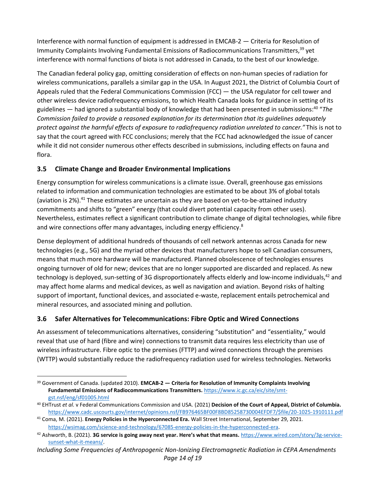Interference with normal function of equipment is addressed in EMCAB-2 — Criteria for Resolution of Immunity Complaints Involving Fundamental Emissions of Radiocommunications Transmitters,<sup>39</sup> yet interference with normal functions of biota is not addressed in Canada, to the best of our knowledge.

The Canadian federal policy gap, omitting consideration of effects on non-human species of radiation for wireless communications, parallels a similar gap in the USA. In August 2021, the District of Columbia Court of Appeals ruled that the Federal Communications Commission (FCC) — the USA regulator for cell tower and other wireless device radiofrequency emissions, to which Health Canada looks for guidance in setting of its guidelines — had ignored a substantial body of knowledge that had been presented in submissions:<sup>40</sup> "The *Commission failed to provide a reasoned explanation for its determination that its guidelines adequately protect against the harmful effects of exposure to radiofrequency radiation unrelated to cancer."* This is not to say that the court agreed with FCC conclusions; merely that the FCC had acknowledged the issue of cancer while it did not consider numerous other effects described in submissions, including effects on fauna and flora.

#### **3.5 Climate Change and Broader Environmental Implications**

Energy consumption for wireless communications is a climate issue. Overall, greenhouse gas emissions related to information and communication technologies are estimated to be about 3% of global totals (aviation is 2%). <sup>41</sup> These estimates are uncertain as they are based on yet-to-be-attained industry commitments and shifts to "green" energy (that could divert potential capacity from other uses). Nevertheless, estimates reflect a significant contribution to climate change of digital technologies, while fibre and wire connections offer many advantages, including energy efficiency[.](#page-5-0)<sup>8</sup>

Dense deployment of additional hundreds of thousands of cell network antennas across Canada for new technologies (e.g., 5G) and the myriad other devices that manufacturers hope to sell Canadian consumers, means that much more hardware will be manufactured. Planned obsolescence of technologies ensures ongoing turnover of old for new; devices that are no longer supported are discarded and replaced. As new technology is deployed, sun-setting of 3G disproportionately affects elderly and low-income individuals,<sup>42</sup> and may affect home alarms and medical devices, as well as navigation and aviation. Beyond risks of halting support of important, functional devices, and associated e-waste, replacement entails petrochemical and mineral resources, and associated mining and pollution.

#### **3.6 Safer Alternatives for Telecommunications: Fibre Optic and Wired Connections**

An assessment of telecommunications alternatives, considering "substitution" and "essentiality," would reveal that use of hard (fibre and wire) connections to transmit data requires less electricity than use of wireless infrastructure. Fibre optic to the premises (FTTP) and wired connections through the premises (WTTP) would substantially reduce the radiofrequency radiation used for wireless technologies. Networks

<sup>39</sup> Government of Canada. (updated 2010). **EMCAB-2 — Criteria for Resolution of Immunity Complaints Involving Fundamental Emissions of Radiocommunications Transmitters.** [https://www.ic.gc.ca/eic/site/smt](https://www.ic.gc.ca/eic/site/smt-gst.nsf/eng/sf01005.html)[gst.nsf/eng/sf01005.html](https://www.ic.gc.ca/eic/site/smt-gst.nsf/eng/sf01005.html)

<sup>40</sup> EHTrust *et al.* v Federal Communications Commission and USA. (2021) **Decision of the Court of Appeal, District of Columbia.**  [https://www.cadc.uscourts.gov/internet/opinions.nsf/FB976465BF00F8BD85258730004EFDF7/\\$file/20-1025-1910111.pdf](https://www.cadc.uscourts.gov/internet/opinions.nsf/FB976465BF00F8BD85258730004EFDF7/$file/20-1025-1910111.pdf)

<sup>41</sup> Coma, M. (2021). **Energy Policies in the Hyperconnected Era.** Wall Street International, September 29, 2021. [https://wsimag.com/science-and-technology/67085-energy-policies-in-the-hyperconnected-era.](https://wsimag.com/science-and-technology/67085-energy-policies-in-the-hyperconnected-era)

<sup>42</sup> Ashworth, B. (2021). **3G service is going away next year. Here's what that means.** [https://www.wired.com/story/3g-service](https://www.wired.com/story/3g-service-sunset-what-it-means/)[sunset-what-it-means/.](https://www.wired.com/story/3g-service-sunset-what-it-means/)

*Including Some Frequencies of Anthropogenic Non-Ionizing Electromagnetic Radiation in CEPA Amendments Page 14 of 19*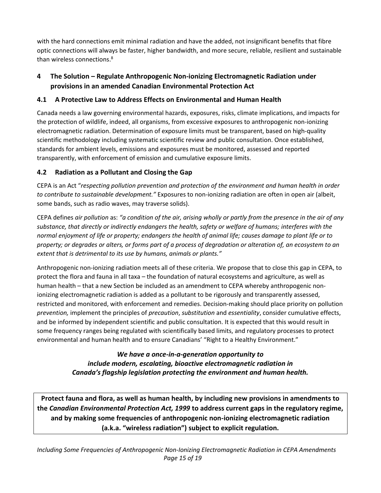with the hard connections emit minimal radiation and have the added, not insignificant benefits that fibre optic connections will always be faster, higher bandwidth, and more secure, reliable, resilient and sustainable than wireless connections.<sup>8</sup>

#### **4 The Solution – Regulate Anthropogenic Non-ionizing Electromagnetic Radiation under provisions in an amended Canadian Environmental Protection Act**

#### **4.1 A Protective Law to Address Effects on Environmental and Human Health**

Canada needs a law governing environmental hazards, exposures, risks, climate implications, and impacts for the protection of wildlife, indeed, all organisms, from excessive exposures to anthropogenic non-ionizing electromagnetic radiation. Determination of exposure limits must be transparent, based on high-quality scientific methodology including systematic scientific review and public consultation. Once established, standards for ambient levels, emissions and exposures must be monitored, assessed and reported transparently, with enforcement of emission and cumulative exposure limits.

#### **4.2 Radiation as a Pollutant and Closing the Gap**

CEPA is an Act "*respecting pollution prevention and protection of the environment and human health in order to contribute to sustainable development."* Exposures to non-ionizing radiation are often in open air (albeit, some bands, such as radio waves, may traverse solids).

CEPA defines *air pollution* as: *"a condition of the air, arising wholly or partly from the presence in the air of any substance, that directly or indirectly endangers the health, safety or welfare of humans; interferes with the normal enjoyment of life or property; endangers the health of animal life; causes damage to plant life or to property; or degrades or alters, or forms part of a process of degradation or alteration of, an ecosystem to an extent that is detrimental to its use by humans, animals or plants."*

Anthropogenic non-ionizing radiation meets all of these criteria. We propose that to close this gap in CEPA, to protect the flora and fauna in all taxa – the foundation of natural ecosystems and agriculture, as well as human health – that a new Section be included as an amendment to CEPA whereby anthropogenic nonionizing electromagnetic radiation is added as a pollutant to be rigorously and transparently assessed, restricted and monitored, with enforcement and remedies. Decision-making should place priority on pollution *prevention,* implement the principles of *precaution*, *substitution* and *essentiality*, consider cumulative effects, and be informed by independent scientific and public consultation. It is expected that this would result in some frequency ranges being regulated with scientifically based limits, and regulatory processes to protect environmental and human health and to ensure Canadians' "Right to a Healthy Environment."

#### *We have a once-in-a-generation opportunity to include modern, escalating, bioactive electromagnetic radiation in Canada's flagship legislation protecting the environment and human health.*

**Protect fauna and flora, as well as human health, by including new provisions in amendments to the** *Canadian Environmental Protection Act, 1999* **to address current gaps in the regulatory regime, and by making some frequencies of anthropogenic non-ionizing electromagnetic radiation (a.k.a. "wireless radiation") subject to explicit regulation.**

*Including Some Frequencies of Anthropogenic Non-Ionizing Electromagnetic Radiation in CEPA Amendments Page 15 of 19*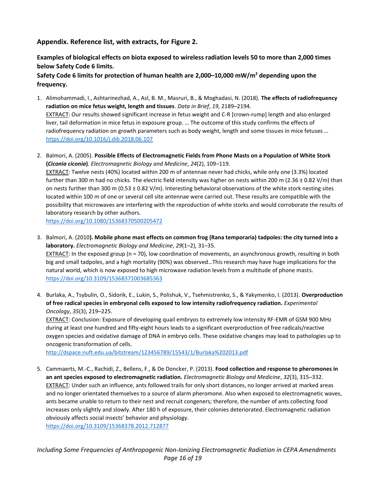#### **Appendix. Reference list, with extracts, for Figure 2.**

**Examples of biological effects on biota exposed to wireless radiation levels 50 to more than 2,000 times below Safety Code 6 limits.**

**Safety Code 6 limits for protection of human health are 2,000–10,000 mW/m<sup>2</sup> depending upon the frequency.** 

- 1. Alimohammadi, I., Ashtarinezhad, A., Asl, B. M., Masruri, B., & Moghadasi, N. (2018). **The effects of radiofrequency radiation on mice fetus weight, length and tissues**. *Data in Brief*, *19*, 2189–2194. EXTRACT: Our results showed significant increase in fetus weight and C-R [crown-rump] length and also enlarged liver, tail deformation in mice fetus in exposure group. … The outcome of this study confirms the effects of radiofrequency radiation on growth parameters such as body weight, length and some tissues in mice fetuses … <https://doi.org/10.1016/j.dib.2018.06.107>
- 2. Balmori, A. (2005). **Possible Effects of Electromagnetic Fields from Phone Masts on a Population of White Stork (***Ciconia ciconia***)**. *Electromagnetic Biology and Medicine*, *24*(2), 109–119. EXTRACT: Twelve nests (40%) located within 200 m of antennae never had chicks, while only one (3.3%) located further than 300 m had no chicks. The electric field intensity was higher on nests within 200 m (2.36  $\pm$  0.82 V/m) than on nests further than 300 m (0.53  $\pm$  0.82 V/m). Interesting behavioral observations of the white stork nesting sites located within 100 m of one or several cell site antennae were carried out. These results are compatible with the possibility that microwaves are interfering with the reproduction of white storks and would corroborate the results of laboratory research by other authors.

<https://doi.org/10.1080/15368370500205472>

- 3. Balmori, A. (2010**). Mobile phone mast effects on common frog (Rana temporaria) tadpoles: the city turned into a laboratory.** *Electromagnetic Biology and Medicine*, *29*(1–2), 31–35. EXTRACT: In the exposed group (n = 70), low coordination of movements, an asynchronous growth, resulting in both big and small tadpoles, and a high mortality (90%) was observed…This research may have huge implications for the natural world, which is now exposed to high microwave radiation levels from a multitude of phone masts. <https://doi.org/10.3109/15368371003685363>
- 4. Burlaka, A., Tsybulin, O., Sidorik, E., Lukin, S., Polishuk, V., Tsehmistrenko, S., & Yakymenko, I. (2013). **Overproduction of free radical species in embryonal cells exposed to low intensity radiofrequency radiation.** *Experimental Oncology*, *35*(3), 219–225.

EXTRACT: Conclusion: Exposure of developing quail embryos to extremely low intensity RF-EMR of GSM 900 MHz during at least one hundred and fifty-eight hours leads to a significant overproduction of free radicals/reactive oxygen species and oxidative damage of DNA in embryo cells. These oxidative changes may lead to pathologies up to oncogenic transformation of cells.

<http://dspace.nuft.edu.ua/bitstream/123456789/15543/1/Burlaka%202013.pdf>

5. Cammaerts, M.-C., Rachidi, Z., Bellens, F., & De Doncker, P. (2013). **Food collection and response to pheromones in an ant species exposed to electromagnetic radiation.** *Electromagnetic Biology and Medicine*, *32*(3), 315–332. EXTRACT: Under such an influence, ants followed trails for only short distances, no longer arrived at marked areas and no longer orientated themselves to a source of alarm pheromone. Also when exposed to electromagnetic waves, ants became unable to return to their nest and recruit congeners; therefore, the number of ants collecting food increases only slightly and slowly. After 180 h of exposure, their colonies deteriorated. Electromagnetic radiation obviously affects social insects' behavior and physiology. <https://doi.org/10.3109/15368378.2012.712877>

*Including Some Frequencies of Anthropogenic Non-Ionizing Electromagnetic Radiation in CEPA Amendments Page 16 of 19*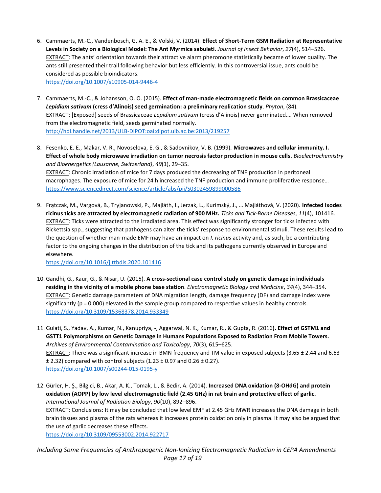- 6. Cammaerts, M.-C., Vandenbosch, G. A. E., & Volski, V. (2014). **Effect of Short-Term GSM Radiation at Representative Levels in Society on a Biological Model: The Ant Myrmica sabuleti**. *Journal of Insect Behavior*, *27*(4), 514–526. EXTRACT: The ants' orientation towards their attractive alarm pheromone statistically became of lower quality. The ants still presented their trail following behavior but less efficiently. In this controversial issue, ants could be considered as possible bioindicators. <https://doi.org/10.1007/s10905-014-9446-4>
- 7. Cammaerts, M.-C., & Johansson, O. O. (2015). **Effect of man-made electromagnetic fields on common Brassicaceae**  *Lepidium sativum* **(cress d'Alinois) seed germination: a preliminary replication study**. *Phyton*, (84). EXTRACT: [Exposed} seeds of Brassicaceae *Lepidium sativum* (cress d'Alinois) never germinated…. When removed from the electromagnetic field, seeds germinated normally. <http://hdl.handle.net/2013/ULB-DIPOT:oai:dipot.ulb.ac.be:2013/219257>
- 8. Fesenko, E. E., Makar, V. R., Novoselova, E. G., & Sadovnikov, V. B. (1999). **Microwaves and cellular immunity. I. Effect of whole body microwave irradiation on tumor necrosis factor production in mouse cells**. *Bioelectrochemistry and Bioenergetics (Lausanne, Switzerland)*, *49*(1), 29–35. EXTRACT: Chronic irradiation of mice for 7 days produced the decreasing of TNF production in peritoneal macrophages. The exposure of mice for 24 h increased the TNF production and immune proliferative response… <https://www.sciencedirect.com/science/article/abs/pii/S0302459899000586>
- 9. Frątczak, M., Vargová, B., Tryjanowski, P., Majláth, I., Jerzak, L., Kurimský, J., … Majláthová, V. (2020). **Infected Ixodes ricinus ticks are attracted by electromagnetic radiation of 900 MHz.** *Ticks and Tick-Borne Diseases*, *11*(4), 101416. EXTRACT: Ticks were attracted to the irradiated area. This effect was significantly stronger for ticks infected with Rickettsia spp., suggesting that pathogens can alter the ticks' response to environmental stimuli. These results lead to the question of whether man-made EMF may have an impact on *I. ricinus* activity and, as such, be a contributing factor to the ongoing changes in the distribution of the tick and its pathogens currently observed in Europe and elsewhere.

<https://doi.org/10.1016/j.ttbdis.2020.101416>

- 10. Gandhi, G., Kaur, G., & Nisar, U. (2015). **A cross-sectional case control study on genetic damage in individuals residing in the vicinity of a mobile phone base station**. *Electromagnetic Biology and Medicine*, *34*(4), 344–354. EXTRACT: Genetic damage parameters of DNA migration length, damage frequency (DF) and damage index were significantly (p = 0.000) elevated in the sample group compared to respective values in healthy controls. <https://doi.org/10.3109/15368378.2014.933349>
- 11. Gulati, S., Yadav, A., Kumar, N., Kanupriya, -, Aggarwal, N. K., Kumar, R., & Gupta, R. (2016**). Effect of GSTM1 and GSTT1 Polymorphisms on Genetic Damage in Humans Populations Exposed to Radiation From Mobile Towers.** *Archives of Environmental Contamination and Toxicology*, *70*(3), 615–625. EXTRACT: There was a significant increase in BMN frequency and TM value in exposed subjects (3.65 ± 2.44 and 6.63  $\pm$  2.32) compared with control subjects (1.23  $\pm$  0.97 and 0.26  $\pm$  0.27). <https://doi.org/10.1007/s00244-015-0195-y>
- 12. Gürler, H. Ş., Bilgici, B., Akar, A. K., Tomak, L., & Bedir, A. (2014). **Increased DNA oxidation (8-OHdG) and protein oxidation (AOPP) by low level electromagnetic field (2.45 GHz) in rat brain and protective effect of garlic.** *International Journal of Radiation Biology*, *90*(10), 892–896. EXTRACT: Conclusions: It may be concluded that low level EMF at 2.45 GHz MWR increases the DNA damage in both brain tissues and plasma of the rats whereas it increases protein oxidation only in plasma. It may also be argued that the use of garlic decreases these effects. <https://doi.org/10.3109/09553002.2014.922717>
- *Including Some Frequencies of Anthropogenic Non-Ionizing Electromagnetic Radiation in CEPA Amendments Page 17 of 19*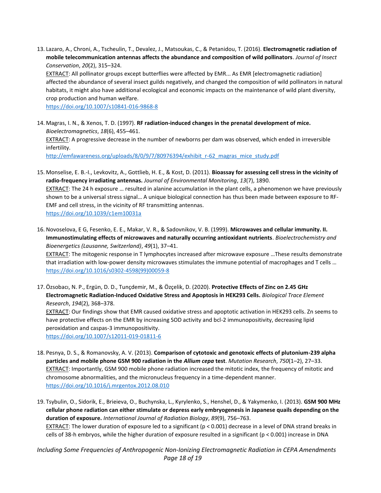13. Lazaro, A., Chroni, A., Tscheulin, T., Devalez, J., Matsoukas, C., & Petanidou, T. (2016). **Electromagnetic radiation of mobile telecommunication antennas affects the abundance and composition of wild pollinators**. *Journal of Insect Conservation*, *20*(2), 315–324.

EXTRACT: All pollinator groups except butterflies were affected by EMR... As EMR [electromagnetic radiation] affected the abundance of several insect guilds negatively, and changed the composition of wild pollinators in natural habitats, it might also have additional ecological and economic impacts on the maintenance of wild plant diversity, crop production and human welfare.

<https://doi.org/10.1007/s10841-016-9868-8>

- 14. Magras, I. N., & Xenos, T. D. (1997). **RF radiation-induced changes in the prenatal development of mice.** *Bioelectromagnetics*, *18*(6), 455–461. EXTRACT: A progressive decrease in the number of newborns per dam was observed, which ended in irreversible infertility. [http://emfawareness.org/uploads/8/0/9/7/80976394/exhibit\\_r-62\\_magras\\_mice\\_study.pdf](http://emfawareness.org/uploads/8/0/9/7/80976394/exhibit_r-62_magras_mice_study.pdf)
- 15. Monselise, E. B.-I., Levkovitz, A., Gottlieb, H. E., & Kost, D. (2011). **Bioassay for assessing cell stress in the vicinity of radio-frequency irradiating antennas.** *Journal of Environmental Monitoring*, *13*(7), 1890. EXTRACT: The 24 h exposure … resulted in alanine accumulation in the plant cells, a phenomenon we have previously shown to be a universal stress signal… A unique biological connection has thus been made between exposure to RF-EMF and cell stress, in the vicinity of RF transmitting antennas. <https://doi.org/10.1039/c1em10031a>
- 16. Novoselova, E G, Fesenko, E. E., Makar, V. R., & Sadovnikov, V. B. (1999). **Microwaves and cellular immunity. II. Immunostimulating effects of microwaves and naturally occurring antioxidant nutrients**. *Bioelectrochemistry and Bioenergetics (Lausanne, Switzerland)*, *49*(1), 37–41. EXTRACT: The mitogenic response in T lymphocytes increased after microwave exposure …These results demonstrate that irradiation with low-power density microwaves stimulates the immune potential of macrophages and T cells … [https://doi.org/10.1016/s0302-4598\(99\)00059-8](https://doi.org/10.1016/s0302-4598(99)00059-8)
- 17. Özsobacı, N. P., Ergün, D. D., Tunçdemir, M., & Özçelik, D. (2020). **Protective Effects of Zinc on 2.45 GHz Electromagnetic Radiation-Induced Oxidative Stress and Apoptosis in HEK293 Cells.** *Biological Trace Element Research*, *194*(2), 368–378.

EXTRACT: Our findings show that EMR caused oxidative stress and apoptotic activation in HEK293 cells. Zn seems to have protective effects on the EMR by increasing SOD activity and bcl-2 immunopositivity, decreasing lipid peroxidation and caspas-3 immunopositivity. <https://doi.org/10.1007/s12011-019-01811-6>

- 18. Pesnya, D. S., & Romanovsky, A. V. (2013). **Comparison of cytotoxic and genotoxic effects of plutonium-239 alpha particles and mobile phone GSM 900 radiation in the** *Allium cepa* **test**. *Mutation Research*, *750*(1–2), 27–33. EXTRACT: Importantly, GSM 900 mobile phone radiation increased the mitotic index, the frequency of mitotic and chromosome abnormalities, and the micronucleus frequency in a time-dependent manner. <https://doi.org/10.1016/j.mrgentox.2012.08.010>
- 19. Tsybulin, O., Sidorik, E., Brieieva, O., Buchynska, L., Kyrylenko, S., Henshel, D., & Yakymenko, I. (2013). **GSM 900 MHz cellular phone radiation can either stimulate or depress early embryogenesis in Japanese quails depending on the duration of exposure.** *International Journal of Radiation Biology*, *89*(9), 756–763. EXTRACT: The lower duration of exposure led to a significant ( $p < 0.001$ ) decrease in a level of DNA strand breaks in cells of 38-h embryos, while the higher duration of exposure resulted in a significant (p < 0.001) increase in DNA

*Including Some Frequencies of Anthropogenic Non-Ionizing Electromagnetic Radiation in CEPA Amendments Page 18 of 19*